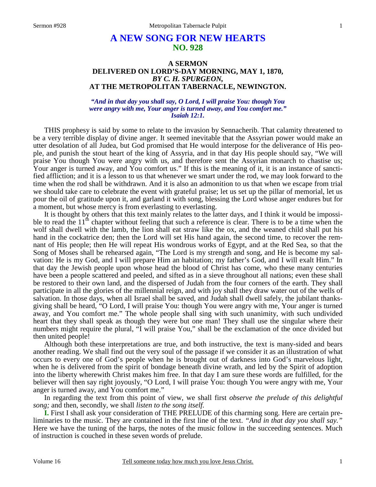## **A NEW SONG FOR NEW HEARTS NO. 928**

## **A SERMON DELIVERED ON LORD'S-DAY MORNING, MAY 1, 1870,**  *BY C. H. SPURGEON,*  **AT THE METROPOLITAN TABERNACLE, NEWINGTON.**

## *"And in that day you shall say, O Lord, I will praise You: though You were angry with me, Your anger is turned away, and You comfort me." Isaiah 12:1.*

THIS prophesy is said by some to relate to the invasion by Sennacherib. That calamity threatened to be a very terrible display of divine anger. It seemed inevitable that the Assyrian power would make an utter desolation of all Judea, but God promised that He would interpose for the deliverance of His people, and punish the stout heart of the king of Assyria, and in that day His people should say, "We will praise You though You were angry with us, and therefore sent the Assyrian monarch to chastise us; Your anger is turned away, and You comfort us." If this is the meaning of it, it is an instance of sanctified affliction; and it is a lesson to us that whenever we smart under the rod, we may look forward to the time when the rod shall be withdrawn. And it is also an admonition to us that when we escape from trial we should take care to celebrate the event with grateful praise; let us set up the pillar of memorial, let us pour the oil of gratitude upon it, and garland it with song, blessing the Lord whose anger endures but for a moment, but whose mercy is from everlasting to everlasting.

It is thought by others that this text mainly relates to the latter days, and I think it would be impossible to read the  $11<sup>th</sup>$  chapter without feeling that such a reference is clear. There is to be a time when the wolf shall dwell with the lamb, the lion shall eat straw like the ox, and the weaned child shall put his hand in the cockatrice den; then the Lord will set His hand again, the second time, to recover the remnant of His people; then He will repeat His wondrous works of Egypt, and at the Red Sea, so that the Song of Moses shall be rehearsed again, "The Lord is my strength and song, and He is become my salvation: He is my God, and I will prepare Him an habitation; my father's God, and I will exalt Him." In that day the Jewish people upon whose head the blood of Christ has come, who these many centuries have been a people scattered and peeled, and sifted as in a sieve throughout all nations; even these shall be restored to their own land, and the dispersed of Judah from the four corners of the earth. They shall participate in all the glories of the millennial reign, and with joy shall they draw water out of the wells of salvation. In those days, when all Israel shall be saved, and Judah shall dwell safely, the jubilant thanksgiving shall be heard, "O Lord, I will praise You: though You were angry with me, Your anger is turned away, and You comfort me." The whole people shall sing with such unanimity, with such undivided heart that they shall speak as though they were but one man! They shall use the singular where their numbers might require the plural, "I will praise You," shall be the exclamation of the once divided but then united people!

Although both these interpretations are true, and both instructive, the text is many-sided and bears another reading. We shall find out the very soul of the passage if we consider it as an illustration of what occurs to every one of God's people when he is brought out of darkness into God's marvelous light, when he is delivered from the spirit of bondage beneath divine wrath, and led by the Spirit of adoption into the liberty wherewith Christ makes him free. In that day I am sure these words are fulfilled, for the believer will then say right joyously, "O Lord, I will praise You: though You were angry with me, Your anger is turned away, and You comfort me."

In regarding the text from this point of view, we shall first *observe the prelude of this delightful song;* and then, secondly, we shall *listen to the song itself.* 

**I.** First I shall ask your consideration of THE PRELUDE of this charming song. Here are certain preliminaries to the music. They are contained in the first line of the text. *"And in that day you shall say."* Here we have the tuning of the harps, the notes of the music follow in the succeeding sentences. Much of instruction is couched in these seven words of prelude.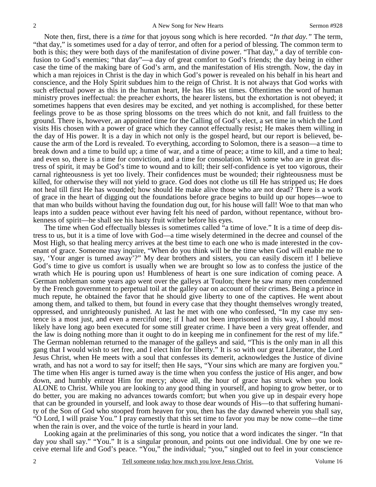Note then, first, there is a *time* for that joyous song which is here recorded. *"In that day."* The term, "that day," is sometimes used for a day of terror, and often for a period of blessing. The common term to both is this; they were both days of the manifestation of divine power. "That day," a day of terrible confusion to God's enemies; "that day"—a day of great comfort to God's friends; the day being in either case the time of the making bare of God's arm, and the manifestation of His strength. Now, the day in which a man rejoices in Christ is the day in which God's power is revealed on his behalf in his heart and conscience, and the Holy Spirit subdues him to the reign of Christ. It is not always that God works with such effectual power as this in the human heart, He has His set times. Oftentimes the word of human ministry proves ineffectual: the preacher exhorts, the hearer listens, but the exhortation is not obeyed; it sometimes happens that even desires may be excited, and yet nothing is accomplished, for these better feelings prove to be as those spring blossoms on the trees which do not knit, and fall fruitless to the ground. There is, however, an appointed time for the Calling of God's elect, a set time in which the Lord visits His chosen with a power of grace which they cannot effectually resist; He makes them willing in the day of His power. It is a day in which not only is the gospel heard, but our report is believed, because the arm of the Lord is revealed. To everything, according to Solomon, there is a season—a time to break down and a time to build up; a time of war, and a time of peace; a time to kill, and a time to heal; and even so, there is a time for conviction, and a time for consolation. With some who are in great distress of spirit, it may be God's time to wound and to kill; their self-confidence is yet too vigorous, their carnal righteousness is yet too lively. Their confidences must be wounded; their righteousness must be killed, for otherwise they will not yield to grace. God does not clothe us till He has stripped us; He does not heal till first He has wounded; how should He make alive those who are not dead? There is a work of grace in the heart of digging out the foundations before grace begins to build up our hopes—woe to that man who builds without having the foundation dug out, for his house will fall! Woe to that man who leaps into a sudden peace without ever having felt his need of pardon, without repentance, without brokenness of spirit—he shall see his hasty fruit wither before his eyes.

The time when God effectually blesses is sometimes called "a time of love." It is a time of deep distress to us, but it is a time of love with God—a time wisely determined in the decree and counsel of the Most High, so that healing mercy arrives at the best time to each one who is made interested in the covenant of grace. Someone may inquire, "When do you think will be the time when God will enable me to say, 'Your anger is turned away'?" My dear brothers and sisters, you can easily discern it! I believe God's time to give us comfort is usually when we are brought so low as to confess the justice of the wrath which He is pouring upon us! Humbleness of heart is one sure indication of coming peace. A German nobleman some years ago went over the galleys at Toulon; there he saw many men condemned by the French government to perpetual toil at the galley oar on account of their crimes. Being a prince in much repute, he obtained the favor that he should give liberty to one of the captives. He went about among them, and talked to them, but found in every case that they thought themselves wrongly treated, oppressed, and unrighteously punished. At last he met with one who confessed, "In my case my sentence is a most just, and even a merciful one; if I had not been imprisoned in this way, I should most likely have long ago been executed for some still greater crime. I have been a very great offender, and the law is doing nothing more than it ought to do in keeping me in confinement for the rest of my life." The German nobleman returned to the manager of the galleys and said, "This is the only man in all this gang that I would wish to set free, and I elect him for liberty." It is so with our great Liberator, the Lord Jesus Christ, when He meets with a soul that confesses its demerit, acknowledges the Justice of divine wrath, and has not a word to say for itself; then He says, "Your sins which are many are forgiven you." The time when His anger is turned away is the time when you confess the justice of His anger, and bow down, and humbly entreat Him for mercy; above all, the hour of grace has struck when you look ALONE to Christ. While you are looking to any good thing in yourself, and hoping to grow better, or to do better, you are making no advances towards comfort; but when you give up in despair every hope that can be grounded in yourself, and look away to those dear wounds of His—to that suffering humanity of the Son of God who stooped from heaven for you, then has the day dawned wherein you shall say, "O Lord, I will praise You." I pray earnestly that this set time to favor you may be now come—the time when the rain is over, and the voice of the turtle is heard in your land.

Looking again at the preliminaries of this song, you notice that a word indicates the singer. "In that day *you* shall say." "You." It is a singular pronoun, and points out one individual. One by one we receive eternal life and God's peace. "You," the individual; "you," singled out to feel in your conscience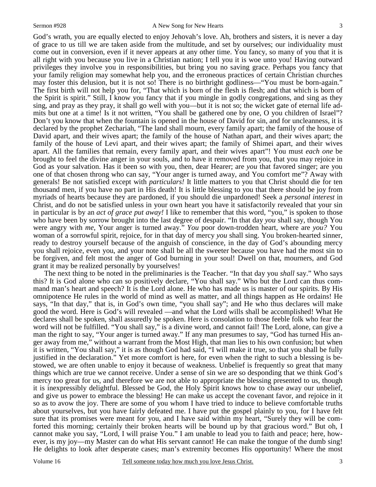God's wrath, you are equally elected to enjoy Jehovah's love. Ah, brothers and sisters, it is never a day of grace to us till we are taken aside from the multitude, and set by ourselves; our individuality must come out in conversion, even if it never appears at any other time. You fancy, so many of you that it is all right with you because you live in a Christian nation; I tell you it is woe unto you! Having outward privileges they involve you in responsibilities, but bring you no saving grace. Perhaps you fancy that your family religion may somewhat help you, and the erroneous practices of certain Christian churches may foster this delusion, but it is not so! There is no birthright godliness—"You must be born-again." The first birth will not help you for, "That which is born of the flesh is flesh; and that which is born of the Spirit is spirit." Still, I know you fancy that if you mingle in godly congregations, and sing as they sing, and pray as they pray, it shall go well with you—but it is not so; the wicket gate of eternal life admits but one at a time! Is it not written, "You shall be gathered one by one, O you children of Israel"? Don't you know that when the fountain is opened in the house of David for sin, and for uncleanness, it is declared by the prophet Zechariah, "The land shall mourn, every family apart; the family of the house of David apart, and their wives apart; the family of the house of Nathan apart, and their wives apart; the family of the house of Levi apart, and their wives apart; the family of Shimei apart, and their wives apart. All the families that remain, every family apart, and their wives apart"! You must *each one* be brought to feel the divine anger in your souls, and to have it removed from you, that you may rejoice in God as your salvation. Has it been so with you, then, dear Hearer; are *you* that favored singer; are you one of that chosen throng who can say, "Your anger is turned away, and You comfort me"? Away with generals! Be not satisfied except with *particulars!* It little matters to you that Christ should die for ten thousand men, if you have no part in His death! It is little blessing to you that there should be joy from myriads of hearts because they are pardoned, if you should die unpardoned! Seek a *personal interest* in Christ, and do not be satisfied unless in your own heart you have it satisfactorily revealed that your sin in particular is by an *act of grace put away!* I like to remember that this word, "you," is spoken to those who have been by sorrow brought into the last degree of despair. "In that day *you* shall say, though You were angry with *me*, Your anger is turned away." *You* poor down-trodden heart, where are *you?* You woman of a sorrowful spirit, rejoice, for in that day of mercy *you* shall sing. You broken-hearted sinner, ready to destroy yourself because of the anguish of conscience, in the day of God's abounding mercy you shall rejoice, even you, and your note shall be all the sweeter because you have had the most sin to be forgiven, and felt most the anger of God burning in your soul! Dwell on that, mourners, and God grant it may be realized personally by yourselves!

The next thing to be noted in the preliminaries is the Teacher. "In that day you *shall* say." Who says this? It is God alone who can so positively declare, "You shall say." Who but the Lord can thus command man's heart and speech? It is the Lord alone. He who has made us is master of our spirits. By His omnipotence He rules in the world of mind as well as matter, and all things happen as He ordains! He says, "In that day," that is, in God's own time, "you shall say"; and He who thus declares will make good the word. Here is God's will revealed —and what the Lord wills shall be accomplished! What He declares shall be spoken, shall assuredly be spoken. Here is consolation to those feeble folk who fear the word will not be fulfilled. "You shall say," is a divine word, and cannot fail! The Lord, alone, can give a man the right to say, "Your anger is turned away." If any man presumes to say, "God has turned His anger away from me," without a warrant from the Most High, that man lies to his own confusion; but when it is written, "You shall say," it is as though God had said, "I will make it true, so that you shall be fully justified in the declaration." Yet more comfort is here, for even when the right to such a blessing is bestowed, we are often unable to enjoy it because of weakness. Unbelief is frequently so great that many things which are true we cannot receive. Under a sense of sin we are so desponding that we think God's mercy too great for us, and therefore we are not able to appropriate the blessing presented to us, though it is inexpressibly delightful. Blessed be God, the Holy Spirit knows how to chase away our unbelief, and give us power to embrace the blessing! He can make us accept the covenant favor, and rejoice in it so as to avow the joy. There are some of you whom I have tried to induce to believe comfortable truths about yourselves, but you have fairly defeated me. I have put the gospel plainly to you, for I have felt sure that its promises were meant for you, and I have said within my heart, "Surely they will be comforted this morning; certainly their broken hearts will be bound up by that gracious word." But oh, I cannot make you say, "Lord, I will praise You." I am unable to lead you to faith and peace; here, however, is my joy—my Master can do what His servant cannot! He can make the tongue of the dumb sing! He delights to look after desperate cases; man's extremity becomes His opportunity! Where the most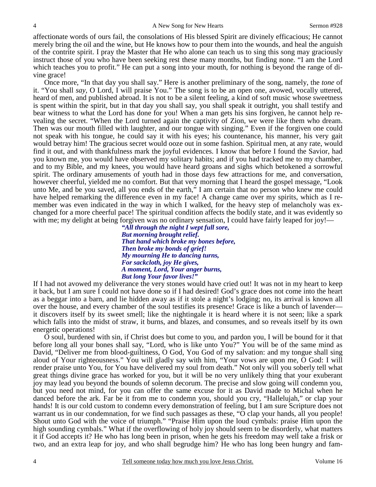affectionate words of ours fail, the consolations of His blessed Spirit are divinely efficacious; He cannot merely bring the oil and the wine, but He knows how to pour them into the wounds, and heal the anguish of the contrite spirit. I pray the Master that He who alone can teach us to sing this song may graciously instruct those of you who have been seeking rest these many months, but finding none. "I am the Lord which teaches you to profit." He can put a song into your mouth, for nothing is beyond the range of divine grace!

Once more, "In that day you shall say." Here is another preliminary of the song, namely, the *tone* of it. "You shall *say,* O Lord, I will praise You." The song is to be an open one, avowed, vocally uttered, heard of men, and published abroad. It is not to be a silent feeling, a kind of soft music whose sweetness is spent within the spirit, but in that day you shall say, you shall speak it outright, you shall testify and bear witness to what the Lord has done for you! When a man gets his sins forgiven, he cannot help revealing the secret. "When the Lord turned again the captivity of Zion, we were like them who dream. Then was our mouth filled with laughter, and our tongue with singing." Even if the forgiven one could not speak with his tongue, he could say it with his eyes; his countenance, his manner, his very gait would betray him! The gracious secret would ooze out in some fashion. Spiritual men, at any rate, would find it out, and with thankfulness mark the joyful evidences. I know that before I found the Savior, had you known me, you would have observed my solitary habits; and if you had tracked me to my chamber, and to my Bible, and my knees, you would have heard groans and sighs which betokened a sorrowful spirit. The ordinary amusements of youth had in those days few attractions for me, and conversation, however cheerful, yielded me no comfort. But that very morning that I heard the gospel message, "Look unto Me, and be you saved, all you ends of the earth," I am certain that no person who knew me could have helped remarking the difference even in my face! A change came over my spirits, which as I remember was even indicated in the way in which I walked, for the heavy step of melancholy was exchanged for a more cheerful pace! The spiritual condition affects the bodily state, and it was evidently so with me; my delight at being forgiven was no ordinary sensation, I could have fairly leaped for joy!—

> *"All through the night I wept full sore, But morning brought relief. That hand which broke my bones before, Then broke my bonds of grief! My mourning He to dancing turns, For sackcloth, joy He gives, A moment, Lord, Your anger burns, But long Your favor lives!"*

If I had not avowed my deliverance the very stones would have cried out! It was not in my heart to keep it back, but I am sure I could not have done so if I had desired! God's grace does not come into the heart as a beggar into a barn, and lie hidden away as if it stole a night's lodging; no, its arrival is known all over the house, and every chamber of the soul testifies its presence! Grace is like a bunch of lavender it discovers itself by its sweet smell; like the nightingale it is heard where it is not seen; like a spark which falls into the midst of straw, it burns, and blazes, and consumes, and so reveals itself by its own energetic operations!

O soul, burdened with sin, if Christ does but come to you, and pardon you, I will be bound for it that before long all your bones shall say, "Lord, who is like unto You?" You will be of the same mind as David, "Deliver me from blood-guiltiness, O God, You God of my salvation: and my tongue shall sing aloud of Your righteousness." You will gladly say with him, "Your vows are upon me, O God: I will render praise unto You, for You have delivered my soul from death." Not only will you soberly tell what great things divine grace has worked for you, but it will be no very unlikely thing that your exuberant joy may lead you beyond the bounds of solemn decorum. The precise and slow going will condemn you, but you need not mind, for you can offer the same excuse for it as David made to Michal when he danced before the ark. Far be it from me to condemn you, should you cry, "Hallelujah," or clap your hands! It is our cold custom to condemn every demonstration of feeling, but I am sure Scripture does not warrant us in our condemnation, for we find such passages as these, "O clap your hands, all you people! Shout unto God with the voice of triumph." "Praise Him upon the loud cymbals: praise Him upon the high sounding cymbals." What if the overflowing of holy joy should seem to be disorderly, what matters it if God accepts it? He who has long been in prison, when he gets his freedom may well take a frisk or two, and an extra leap for joy, and who shall begrudge him? He who has long been hungry and fam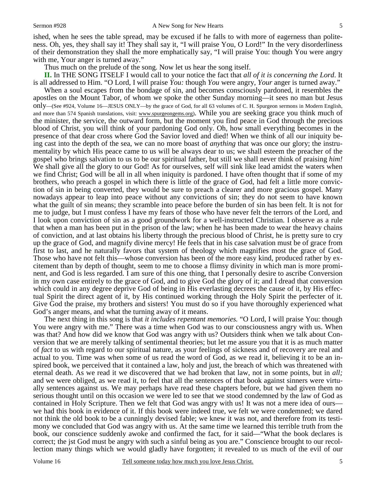ished, when he sees the table spread, may be excused if he falls to with more of eagerness than politeness. Oh, yes, they shall say it! They shall say it, "I will praise You, O Lord!" In the very disorderliness of their demonstration they shall the more emphatically say, "I will praise You: though You were angry with me, Your anger is turned away."

Thus much on the prelude of the song. Now let us hear the song itself.

**II.** In THE SONG ITSELF I would call to your notice the fact that *all of it is concerning the Lord*. It is all addressed to Him. "O Lord, I will praise *You:* though *You* were angry, *Your* anger is turned away."

When a soul escapes from the bondage of sin, and becomes consciously pardoned, it resembles the apostles on the Mount Tabor, of whom we spoke the other Sunday morning—it sees no man but Jesus only—(See #924, Volume 16—JESUS ONLY—by the grace of God, for all 63 volumes of C. H. Spurgeon sermons in Modern English, and more than 574 Spanish translations, visit: www.spurgeongems.org). While you are seeking grace you think much of the minister, the service, the outward form, but the moment you find peace in God through the precious blood of Christ, you will think of your pardoning God only. Oh, how small everything becomes in the presence of that dear cross where God the Savior loved and died! When we think of all our iniquity being cast into the depth of the sea, we can no more boast of *anything* that was once our glory; the instrumentality by which His peace came to us will be always dear to us; we shall esteem the preacher of the gospel who brings salvation to us to be our spiritual father, but still we shall never think of praising *him!*  We shall give all the glory to our God! As for ourselves, self will sink like lead amidst the waters when we find Christ; God will be all in all when iniquity is pardoned. I have often thought that if some of my brothers, who preach a gospel in which there is little of the grace of God, had felt a little more conviction of sin in being converted, they would be sure to preach a clearer and more gracious gospel. Many nowadays appear to leap into peace without any convictions of sin; they do not seem to have known what the guilt of sin means; they scramble into peace before the burden of sin has been felt. It is not for me to judge, but I must confess I have my fears of those who have never felt the terrors of the Lord, and I look upon conviction of sin as a good groundwork for a well-instructed Christian. I observe as a rule that when a man has been put in the prison of the law; when he has been made to wear the heavy chains of conviction, and at last obtains his liberty through the precious blood of Christ, he is pretty sure to cry up the grace of God, and magnify divine mercy! He feels that in his case salvation must be of grace from first to last, and he naturally favors that system of theology which magnifies most the grace of God. Those who have not felt this—whose conversion has been of the more easy kind, produced rather by excitement than by depth of thought, seem to me to choose a flimsy divinity in which man is more prominent, and God is less regarded. I am sure of this one thing, that I personally desire to ascribe Conversion in my own case entirely to the grace of God, and to give God the glory of it; and I dread that conversion which could in any degree deprive God of being in His everlasting decrees the cause of it, by His effectual Spirit the direct agent of it, by His continued working through the Holy Spirit the perfecter of it. Give God the praise, my brothers and sisters! You must do so if you have thoroughly experienced what God's anger means, and what the turning away of it means.

The next thing in this song is that *it includes repentant memories.* "O Lord, I will praise You: though You were angry with me." There was a time when God was to our consciousness angry with us. When was that? And how did we know that God was angry with us? Outsiders think when we talk about Conversion that we are merely talking of sentimental theories; but let me assure you that it is as much matter of *fact* to us with regard to our spiritual nature, as your feelings of sickness and of recovery are real and actual to you. Time was when some of us read the word of God, as we read it, believing it to be an inspired book, we perceived that it contained a law, holy and just, the breach of which was threatened with eternal death. As we read it we discovered that we had broken that law, not in some points, but in *all;* and we were obliged, as we read it, to feel that all the sentences of that book against sinners were virtually sentences against us. We may perhaps have read these chapters before, but we had given them no serious thought until on this occasion we were led to see that we stood condemned by the law of God as contained in Holy Scripture. Then we felt that God was angry with us! It was not a mere idea of ours we had this book in evidence of it. If this book were indeed true, we felt we were condemned; we dared not think the old book to be a cunningly devised fable; we knew it was not, and therefore from its testimony we concluded that God was angry with us. At the same time we learned this terrible truth from the book, our conscience suddenly awoke and confirmed the fact, for it said—"What the book declares is correct; the jst God must be angry with such a sinful being as you are." Conscience brought to our recollection many things which we would gladly have forgotten; it revealed to us much of the evil of our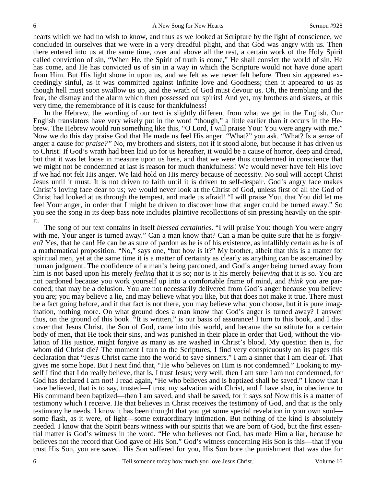hearts which we had no wish to know, and thus as we looked at Scripture by the light of conscience, we concluded in ourselves that we were in a very dreadful plight, and that God was angry with us. Then there entered into us at the same time, over and above all the rest, a certain work of the Holy Spirit called conviction of sin, "When He, the Spirit of truth is come," He shall convict the world of sin. He has come, and He has convicted us of sin in a way in which the Scripture would not have done apart from Him. But His light shone in upon us, and we felt as we never felt before. Then sin appeared exceedingly sinful, as it was committed against Infinite love and Goodness; then it appeared to us as though hell must soon swallow us up, and the wrath of God must devour us. Oh, the trembling and the fear, the dismay and the alarm which then possessed our spirits! And yet, my brothers and sisters, at this very time, the remembrance of it is cause for thankfulness!

In the Hebrew, the wording of our text is slightly different from what we get in the English. Our English translators have very wisely put in the word "though," a little earlier than it occurs in the Hebrew. The Hebrew would run something like this, "O Lord, I will praise You: You were angry with me." Now we do this day praise God that He made us feel His anger. "What?" you ask. "What? Is a sense of anger a cause for *praise?"* No, my brothers and sisters, not if it stood alone, but because it has driven us to Christ! If God's wrath had been laid up for us hereafter, it would be a cause of horror, deep and dread, but that it was let loose in measure upon us here, and that we were thus condemned in conscience that we might not be condemned at last is reason for much thankfulness! We would never have felt His love if we had not felt His anger. We laid hold on His mercy because of necessity. No soul will accept Christ Jesus until it must. It is not driven to faith until it is driven to self-despair. God's angry face makes Christ's loving face dear to us; we would never look at the Christ of God, unless first of all the God of Christ had looked at us through the tempest, and made us afraid! "I will praise You, that You did let me feel Your anger, in order that I might be driven to discover how that anger could be turned away." So you see the song in its deep bass note includes plaintive recollections of sin pressing heavily on the spirit.

The song of our text contains in itself *blessed certainties.* "I will praise You: though You were angry with me, Your anger is turned away." Can a man know that? Can a man be quite sure that he is forgiven? Yes, that he can! He can be as sure of pardon as he is of his existence, as infallibly certain as he is of a mathematical proposition. "No," says one, "but how is it?" My brother, albeit that this is a matter for spiritual men, yet at the same time it is a matter of certainty as clearly as anything can be ascertained by human judgment. The confidence of a man's being pardoned, and God's anger being turned away from him is not based upon his merely *feeling* that it is so; nor is it his merely *believing* that it is so. You are not pardoned because you work yourself up into a comfortable frame of mind, and *think* you are pardoned; that may be a delusion. You are not necessarily delivered from God's anger because you believe you are; you may believe a lie, and may believe what you like, but that does not make it true. There must be a fact going before, and if that fact is not there, you may believe what you choose, but it is pure imagination, nothing more. On what ground does a man know that God's anger is turned away? I answer thus, on the ground of this book. "It is written," is our basis of assurance! I turn to this book, and I discover that Jesus Christ, the Son of God, came into this world, and became the substitute for a certain body of men, that He took their sins, and was punished in their place in order that God, without the violation of His justice, might forgive as many as are washed in Christ's blood. My question then is, for whom did Christ die? The moment I turn to the Scriptures, I find very conspicuously on its pages this declaration that "Jesus Christ came into the world to save sinners." I am a sinner that I am clear of. That gives me some hope. But I next find that, "He who believes on Him is not condemned." Looking to myself I find that I do really believe, that is, I trust Jesus; very well, then I am sure I am not condemned, for God has declared I am not! I read again, "He who believes and is baptized shall be saved." I know that I have believed, that is to say, trusted—I trust my salvation with Christ, and I have also, in obedience to His command been baptized—then I am saved, and shall be saved, for it says so! Now this is a matter of testimony which I receive. He that believes in Christ receives the testimony of God, and that is the only testimony he needs. I know it has been thought that you get some special revelation in your own soul some flash, as it were, of light—some extraordinary intimation. But nothing of the kind is absolutely needed. I know that the Spirit bears witness with our spirits that we are born of God, but the first essential matter is God's witness in the word. "He who believes not God, has made Him a liar, because he believes not the record that God gave of His Son." God's witness concerning His Son is this—that if you trust His Son, you are saved. His Son suffered for you, His Son bore the punishment that was due for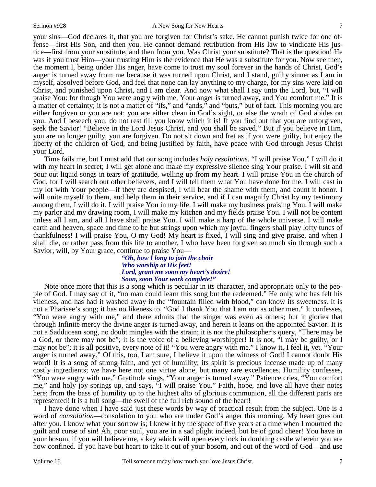your sins—God declares it, that you are forgiven for Christ's sake. He cannot punish twice for one offense—first His Son, and then you. He cannot demand retribution from His law to vindicate His justice—first from your substitute, and then from you. Was Christ your substitute? That is the question! He was if you trust Him—your trusting Him is the evidence that He was a substitute for you. Now see then, the moment I, being under His anger, have come to trust my soul forever in the hands of Christ, God's anger is turned away from me because it was turned upon Christ, and I stand, guilty sinner as I am in myself, absolved before God, and feel that none can lay anything to my charge, for my sins were laid on Christ, and punished upon Christ, and I am clear. And now what shall I say unto the Lord, but, "I will praise You: for though You were angry with me, Your anger is turned away, and You comfort me." It is a matter of certainty; it is not a matter of "ifs," and "ands," and "buts," but of fact. This morning you are either forgiven or you are not; you are either clean in God's sight, or else the wrath of God abides on you. And I beseech you, do not rest till you know which it is! If you find out that you are unforgiven, seek the Savior! "Believe in the Lord Jesus Christ, and you shall be saved." But if you believe in Him, you are no longer guilty, you are forgiven. Do not sit down and fret as if you were guilty, but enjoy the liberty of the children of God, and being justified by faith, have peace with God through Jesus Christ your Lord.

Time fails me, but I must add that our song includes *holy resolutions.* "I will praise You." I will do it with my heart in secret; I will get alone and make my expressive silence sing Your praise. I will sit and pour out liquid songs in tears of gratitude, welling up from my heart. I will praise You in the church of God, for I will search out other believers, and I will tell them what You have done for me. I will cast in my lot with Your people—if they are despised, I will bear the shame with them, and count it honor. I will unite myself to them, and help them in their service, and if I can magnify Christ by my testimony among them, I will do it. I will praise You in my life. I will make my business praising You. I will make my parlor and my drawing room, I will make my kitchen and my fields praise You. I will not be content unless all I am, and all I have shall praise You. I will make a harp of the whole universe. I will make earth and heaven, space and time to be but strings upon which my joyful fingers shall play lofty tunes of thankfulness! I will praise You, O my God! My heart is fixed, I will sing and give praise, and when I shall die, or rather pass from this life to another, I who have been forgiven so much sin through such a Savior, will, by Your grace, continue to praise You—

*"Oh, how I long to join the choir Who worship at His feet! Lord, grant me soon my heart's desire! Soon, soon Your work complete!"* 

Note once more that this is a song which is peculiar in its character, and appropriate only to the people of God. I may say of it, "no man could learn this song but the redeemed." He only who has felt his vileness, and has had it washed away in the "fountain filled with blood," can know its sweetness. It is not a Pharisee's song; it has no likeness to, "God I thank You that I am not as other men." It confesses, "You were angry with me," and there admits that the singer was even as others; but it glories that through Infinite mercy the divine anger is turned away, and herein it leans on the appointed Savior. It is not a Sadducean song, no doubt mingles with the strain; it is not the philosopher's query, "There may be a God, or there may not be"; it is the voice of a believing worshipper! It is not, "I may be guilty, or I may not be"; it is all positive, every note of it! "You were angry with me." I know it, I feel it, yet, "Your anger is turned away." Of this, too, I am sure, I believe it upon the witness of God! I cannot doubt His word! It is a song of strong faith, and yet of humility; its spirit is precious incense made up of many costly ingredients; we have here not one virtue alone, but many rare excellences. Humility confesses, "You were angry with me." Gratitude sings, "Your anger is turned away." Patience cries, "You comfort me," and holy joy springs up, and says, "I will praise You." Faith, hope, and love all have their notes here; from the bass of humility up to the highest alto of glorious communion, all the different parts are represented! It is a full song—the swell of the full rich sound of the heart!

I have done when I have said just these words by way of practical result from the subject. One is a word of *consolation*—consolation to you who are under God's anger this morning. My heart goes out after you. I know what your sorrow is; I knew it by the space of five years at a time when I mourned the guilt and curse of sin! Ah, poor soul, you are in a sad plight indeed, but be of good cheer! You have in your bosom, if you will believe me, a key which will open every lock in doubting castle wherein you are now confined. If you have but heart to take it out of your bosom, and out of the word of God—and use